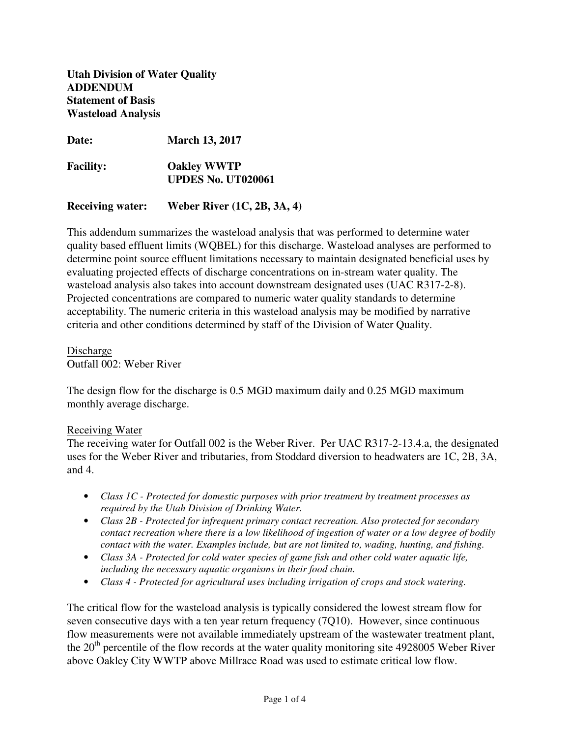**Utah Division of Water Quality ADDENDUM Statement of Basis Wasteload Analysis** 

**Date: March 13, 2017** 

**Facility: Oakley WWTP UPDES No. UT020061** 

**Receiving water: Weber River (1C, 2B, 3A, 4)** 

This addendum summarizes the wasteload analysis that was performed to determine water quality based effluent limits (WQBEL) for this discharge. Wasteload analyses are performed to determine point source effluent limitations necessary to maintain designated beneficial uses by evaluating projected effects of discharge concentrations on in-stream water quality. The wasteload analysis also takes into account downstream designated uses (UAC R317-2-8). Projected concentrations are compared to numeric water quality standards to determine acceptability. The numeric criteria in this wasteload analysis may be modified by narrative criteria and other conditions determined by staff of the Division of Water Quality.

Discharge Outfall 002: Weber River

The design flow for the discharge is 0.5 MGD maximum daily and 0.25 MGD maximum monthly average discharge.

## Receiving Water

The receiving water for Outfall 002 is the Weber River. Per UAC R317-2-13.4.a, the designated uses for the Weber River and tributaries, from Stoddard diversion to headwaters are 1C, 2B, 3A, and 4.

- *Class 1C Protected for domestic purposes with prior treatment by treatment processes as required by the Utah Division of Drinking Water.*
- *Class 2B Protected for infrequent primary contact recreation. Also protected for secondary contact recreation where there is a low likelihood of ingestion of water or a low degree of bodily contact with the water. Examples include, but are not limited to, wading, hunting, and fishing.*
- *Class 3A Protected for cold water species of game fish and other cold water aquatic life, including the necessary aquatic organisms in their food chain.*
- *Class 4 Protected for agricultural uses including irrigation of crops and stock watering.*

The critical flow for the wasteload analysis is typically considered the lowest stream flow for seven consecutive days with a ten year return frequency (7Q10). However, since continuous flow measurements were not available immediately upstream of the wastewater treatment plant, the  $20<sup>th</sup>$  percentile of the flow records at the water quality monitoring site 4928005 Weber River above Oakley City WWTP above Millrace Road was used to estimate critical low flow.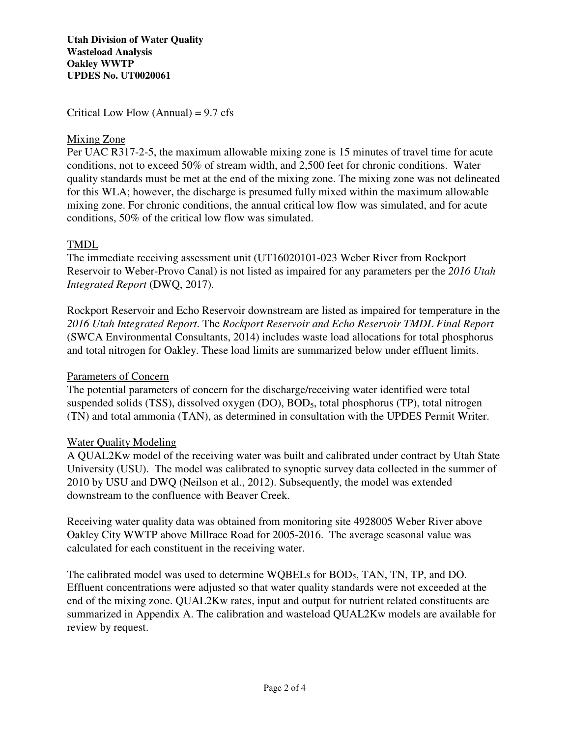**Utah Division of Water Quality Wasteload Analysis Oakley WWTP UPDES No. UT0020061**

Critical Low Flow (Annual) =  $9.7 \text{ cfs}$ 

# Mixing Zone

Per UAC R317-2-5, the maximum allowable mixing zone is 15 minutes of travel time for acute conditions, not to exceed 50% of stream width, and 2,500 feet for chronic conditions. Water quality standards must be met at the end of the mixing zone. The mixing zone was not delineated for this WLA; however, the discharge is presumed fully mixed within the maximum allowable mixing zone. For chronic conditions, the annual critical low flow was simulated, and for acute conditions, 50% of the critical low flow was simulated.

# TMDL

The immediate receiving assessment unit (UT16020101-023 Weber River from Rockport Reservoir to Weber-Provo Canal) is not listed as impaired for any parameters per the *2016 Utah Integrated Report* (DWQ, 2017).

Rockport Reservoir and Echo Reservoir downstream are listed as impaired for temperature in the *2016 Utah Integrated Report*. The *Rockport Reservoir and Echo Reservoir TMDL Final Report* (SWCA Environmental Consultants, 2014) includes waste load allocations for total phosphorus and total nitrogen for Oakley. These load limits are summarized below under effluent limits.

# Parameters of Concern

The potential parameters of concern for the discharge/receiving water identified were total suspended solids (TSS), dissolved oxygen (DO), BOD<sub>5</sub>, total phosphorus (TP), total nitrogen (TN) and total ammonia (TAN), as determined in consultation with the UPDES Permit Writer.

# Water Quality Modeling

A QUAL2Kw model of the receiving water was built and calibrated under contract by Utah State University (USU). The model was calibrated to synoptic survey data collected in the summer of 2010 by USU and DWQ (Neilson et al., 2012). Subsequently, the model was extended downstream to the confluence with Beaver Creek.

Receiving water quality data was obtained from monitoring site 4928005 Weber River above Oakley City WWTP above Millrace Road for 2005-2016. The average seasonal value was calculated for each constituent in the receiving water.

The calibrated model was used to determine WQBELs for BOD5, TAN, TN, TP, and DO. Effluent concentrations were adjusted so that water quality standards were not exceeded at the end of the mixing zone. QUAL2Kw rates, input and output for nutrient related constituents are summarized in Appendix A. The calibration and wasteload QUAL2Kw models are available for review by request.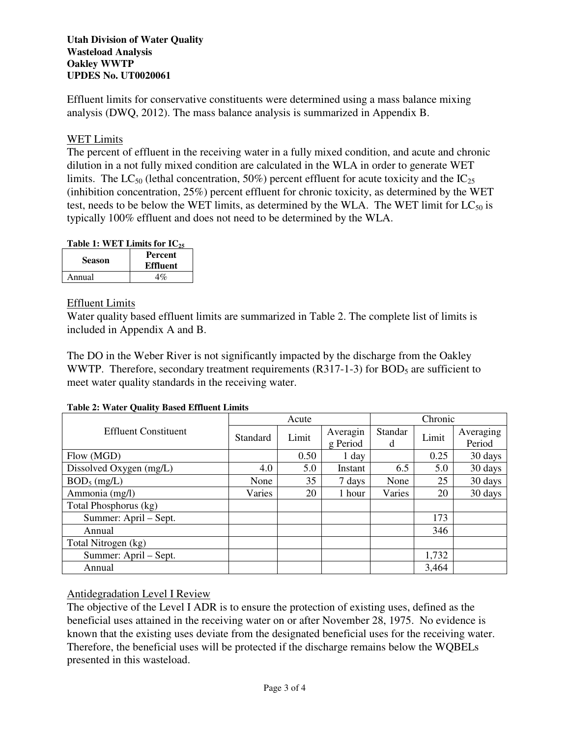## **Utah Division of Water Quality Wasteload Analysis Oakley WWTP UPDES No. UT0020061**

Effluent limits for conservative constituents were determined using a mass balance mixing analysis (DWQ, 2012). The mass balance analysis is summarized in Appendix B.

# WET Limits

The percent of effluent in the receiving water in a fully mixed condition, and acute and chronic dilution in a not fully mixed condition are calculated in the WLA in order to generate WET limits. The LC<sub>50</sub> (lethal concentration, 50%) percent effluent for acute toxicity and the  $IC_{25}$ (inhibition concentration, 25%) percent effluent for chronic toxicity, as determined by the WET test, needs to be below the WET limits, as determined by the WLA. The WET limit for  $LC_{50}$  is typically 100% effluent and does not need to be determined by the WLA.

## **Table 1: WET Limits for IC<sup>25</sup>**

| <b>Season</b> | <b>Percent</b><br><b>Effluent</b> |
|---------------|-----------------------------------|
| Annual        | 4%                                |

## Effluent Limits

Water quality based effluent limits are summarized in Table 2. The complete list of limits is included in Appendix A and B.

The DO in the Weber River is not significantly impacted by the discharge from the Oakley WWTP. Therefore, secondary treatment requirements  $(R317-1-3)$  for BOD<sub>5</sub> are sufficient to meet water quality standards in the receiving water.

| <b>Table 2: Water Quality Based Effluent Limits</b> |
|-----------------------------------------------------|
|-----------------------------------------------------|

|                             | Acute    |       |                      | Chronic |       |           |
|-----------------------------|----------|-------|----------------------|---------|-------|-----------|
| <b>Effluent Constituent</b> | Standard | Limit | Averagin<br>g Period | Standar | Limit | Averaging |
|                             |          |       |                      | d       |       | Period    |
| Flow (MGD)                  |          | 0.50  | 1 day                |         | 0.25  | 30 days   |
| Dissolved Oxygen (mg/L)     | 4.0      | 5.0   | Instant              | 6.5     | 5.0   | 30 days   |
| $BOD_5$ (mg/L)              | None     | 35    | 7 days               | None    | 25    | 30 days   |
| Ammonia (mg/l)              | Varies   | 20    | 1 hour               | Varies  | 20    | 30 days   |
| Total Phosphorus (kg)       |          |       |                      |         |       |           |
| Summer: April – Sept.       |          |       |                      |         | 173   |           |
| Annual                      |          |       |                      |         | 346   |           |
| Total Nitrogen (kg)         |          |       |                      |         |       |           |
| Summer: April – Sept.       |          |       |                      |         | 1,732 |           |
| Annual                      |          |       |                      |         | 3,464 |           |

Antidegradation Level I Review

The objective of the Level I ADR is to ensure the protection of existing uses, defined as the beneficial uses attained in the receiving water on or after November 28, 1975. No evidence is known that the existing uses deviate from the designated beneficial uses for the receiving water. Therefore, the beneficial uses will be protected if the discharge remains below the WQBELs presented in this wasteload.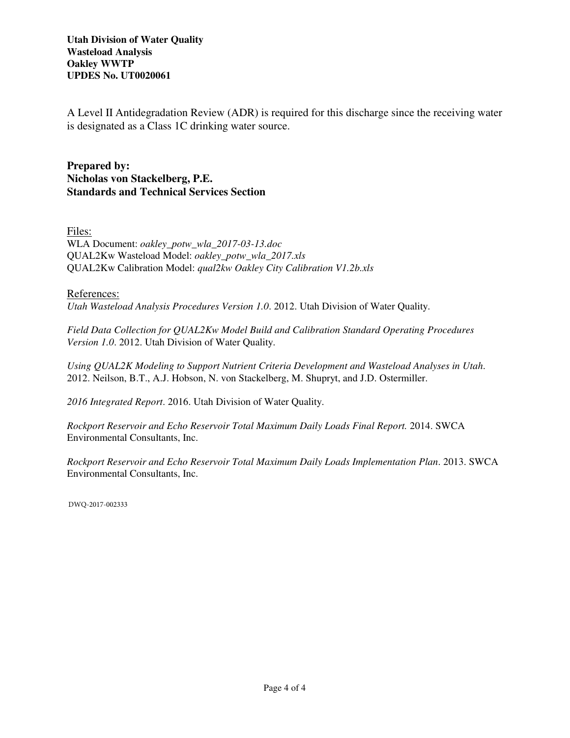**Utah Division of Water Quality Wasteload Analysis Oakley WWTP UPDES No. UT0020061**

A Level II Antidegradation Review (ADR) is required for this discharge since the receiving water is designated as a Class 1C drinking water source.

**Prepared by: Nicholas von Stackelberg, P.E. Standards and Technical Services Section**

Files:

WLA Document: *oakley\_potw\_wla\_2017-03-13.doc* QUAL2Kw Wasteload Model: *oakley\_potw\_wla\_2017.xls* QUAL2Kw Calibration Model: *qual2kw Oakley City Calibration V1.2b.xls*

References:

*Utah Wasteload Analysis Procedures Version 1.0*. 2012. Utah Division of Water Quality.

*Field Data Collection for QUAL2Kw Model Build and Calibration Standard Operating Procedures Version 1.0*. 2012. Utah Division of Water Quality.

*Using QUAL2K Modeling to Support Nutrient Criteria Development and Wasteload Analyses in Utah*. 2012. Neilson, B.T., A.J. Hobson, N. von Stackelberg, M. Shupryt, and J.D. Ostermiller.

*2016 Integrated Report*. 2016. Utah Division of Water Quality.

*Rockport Reservoir and Echo Reservoir Total Maximum Daily Loads Final Report.* 2014. SWCA Environmental Consultants, Inc.

*Rockport Reservoir and Echo Reservoir Total Maximum Daily Loads Implementation Plan*. 2013. SWCA Environmental Consultants, Inc.

DWQ-2017-002333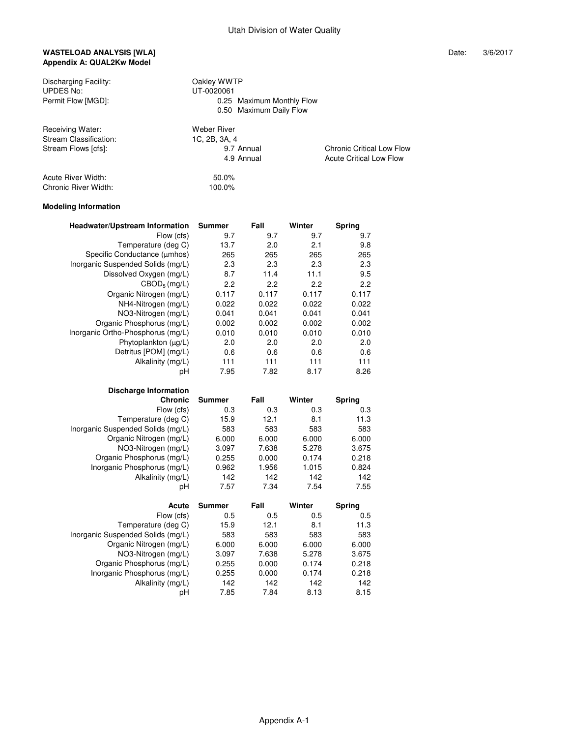### WASTELOAD ANALYSIS [WLA] **WASTELOAD ANALYSIS** [WLA] **Appendix A: QUAL2Kw Model**

| Discharging Facility:<br>UPDES No:    |            | Oakley WWTP<br>UT-0020061 |                         |     |                           |                                  |  |
|---------------------------------------|------------|---------------------------|-------------------------|-----|---------------------------|----------------------------------|--|
| Permit Flow [MGD]:                    |            |                           |                         |     | 0.25 Maximum Monthly Flow |                                  |  |
|                                       |            |                           | 0.50 Maximum Daily Flow |     |                           |                                  |  |
| Receiving Water:                      |            | Weber River               |                         |     |                           |                                  |  |
| Stream Classification:                |            | 1C, 2B, 3A, 4             |                         |     |                           |                                  |  |
| Stream Flows [cfs]:                   |            |                           | 9.7 Annual              |     |                           | <b>Chronic Critical Low Flow</b> |  |
|                                       |            |                           | 4.9 Annual              |     |                           | <b>Acute Critical Low Flow</b>   |  |
| Acute River Width:                    |            | 50.0%                     |                         |     |                           |                                  |  |
| Chronic River Width:                  |            | 100.0%                    |                         |     |                           |                                  |  |
| <b>Modeling Information</b>           |            |                           |                         |     |                           |                                  |  |
| <b>Headwater/Upstream Information</b> |            | Summer                    | Fall                    |     | Winter                    | Spring                           |  |
|                                       | Flow (cfs) | 9.7                       |                         | 9.7 | 9.7                       | 9.7                              |  |
|                                       |            |                           |                         |     |                           |                                  |  |

|               |                                                                                                              |                                                                                                                    | J.I                                                                                                            |
|---------------|--------------------------------------------------------------------------------------------------------------|--------------------------------------------------------------------------------------------------------------------|----------------------------------------------------------------------------------------------------------------|
| 13.7          | 2.0                                                                                                          | 2.1                                                                                                                | 9.8                                                                                                            |
| 265           | 265                                                                                                          | 265                                                                                                                | 265                                                                                                            |
| 2.3           | 2.3                                                                                                          | 2.3                                                                                                                | 2.3                                                                                                            |
| 8.7           | 11.4                                                                                                         | 11.1                                                                                                               | 9.5                                                                                                            |
| 2.2           | 2.2                                                                                                          | 2.2                                                                                                                | 2.2                                                                                                            |
| 0.117         | 0.117                                                                                                        | 0.117                                                                                                              | 0.117                                                                                                          |
| 0.022         | 0.022                                                                                                        | 0.022                                                                                                              | 0.022                                                                                                          |
| 0.041         | 0.041                                                                                                        | 0.041                                                                                                              | 0.041                                                                                                          |
| 0.002         | 0.002                                                                                                        | 0.002                                                                                                              | 0.002                                                                                                          |
| 0.010         | 0.010                                                                                                        | 0.010                                                                                                              | 0.010                                                                                                          |
| 2.0           | 2.0                                                                                                          | 2.0                                                                                                                | 2.0                                                                                                            |
| 0.6           | 0.6                                                                                                          | 0.6                                                                                                                | 0.6                                                                                                            |
| 111           | 111                                                                                                          | 111                                                                                                                | 111                                                                                                            |
| 7.95          | 7.82                                                                                                         | 8.17                                                                                                               | 8.26                                                                                                           |
|               |                                                                                                              |                                                                                                                    |                                                                                                                |
|               |                                                                                                              |                                                                                                                    |                                                                                                                |
| <b>Summer</b> |                                                                                                              |                                                                                                                    | Spring                                                                                                         |
| 0.3           |                                                                                                              | 0.3                                                                                                                | 0.3                                                                                                            |
| 15.9          | 12.1                                                                                                         | 8.1                                                                                                                | 11.3                                                                                                           |
| 583           | 583                                                                                                          | 583                                                                                                                | 583                                                                                                            |
| 6.000         | 6.000                                                                                                        | 6.000                                                                                                              | 6.000                                                                                                          |
| 3.097         | 7.638                                                                                                        | 5.278                                                                                                              | 3.675                                                                                                          |
| 0.255         | 0.000                                                                                                        | 0.174                                                                                                              | 0.218                                                                                                          |
| 0.962         | 1.956                                                                                                        | 1.015                                                                                                              | 0.824                                                                                                          |
|               |                                                                                                              |                                                                                                                    | 142                                                                                                            |
|               |                                                                                                              |                                                                                                                    | 7.55                                                                                                           |
|               |                                                                                                              |                                                                                                                    |                                                                                                                |
|               |                                                                                                              |                                                                                                                    | Spring                                                                                                         |
|               |                                                                                                              |                                                                                                                    | 0.5                                                                                                            |
|               |                                                                                                              |                                                                                                                    | 11.3                                                                                                           |
|               |                                                                                                              |                                                                                                                    | 583                                                                                                            |
|               |                                                                                                              |                                                                                                                    | 6.000                                                                                                          |
|               |                                                                                                              |                                                                                                                    | 3.675                                                                                                          |
|               |                                                                                                              |                                                                                                                    | 0.218                                                                                                          |
|               |                                                                                                              |                                                                                                                    | 0.218                                                                                                          |
|               |                                                                                                              |                                                                                                                    | 142                                                                                                            |
|               |                                                                                                              |                                                                                                                    | 8.15                                                                                                           |
|               | J.I<br>142<br>7.57<br><b>Summer</b><br>0.5<br>15.9<br>583<br>6.000<br>3.097<br>0.255<br>0.255<br>142<br>7.85 | J.I<br>Fall<br>0.3<br>142<br>7.34<br>Fall<br>0.5<br>12.1<br>583<br>6.000<br>7.638<br>0.000<br>0.000<br>142<br>7.84 | J.I<br>Winter<br>142<br>7.54<br>Winter<br>0.5<br>8.1<br>583<br>6.000<br>5.278<br>0.174<br>0.174<br>142<br>8.13 |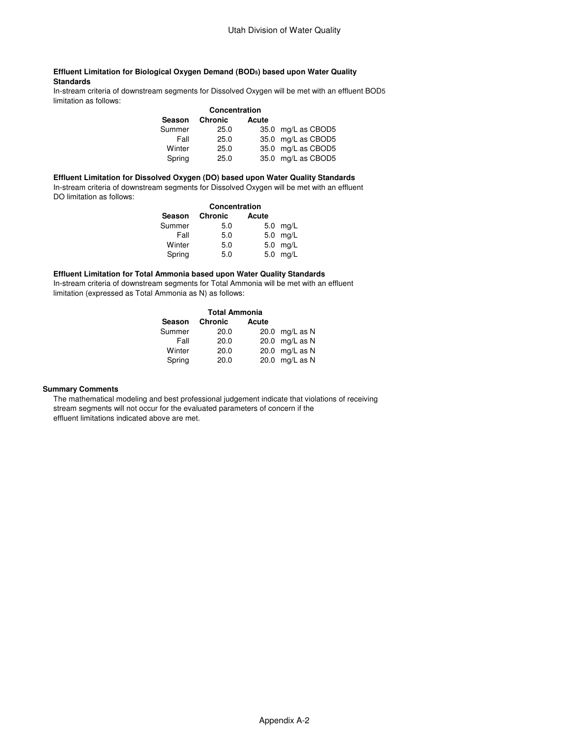#### **Effluent Limitation for Biological Oxygen Demand (BOD5) based upon Water Quality Standards**

 In-stream criteria of downstream segments for Dissolved Oxygen will be met with an effluent BOD5 limitation as follows:

|        | Concentration  |       |                    |
|--------|----------------|-------|--------------------|
| Season | <b>Chronic</b> | Acute |                    |
| Summer | 25.0           |       | 35.0 mg/L as CBOD5 |
| Fall   | 25.0           |       | 35.0 mg/L as CBOD5 |
| Winter | 25.0           |       | 35.0 mg/L as CBOD5 |
| Spring | 25.0           |       | 35.0 mg/L as CBOD5 |

#### **Effluent Limitation for Dissolved Oxygen (DO) based upon Water Quality Standards**

 In-stream criteria of downstream segments for Dissolved Oxygen will be met with an effluent DO limitation as follows:

| <b>Chronic</b> | Acute |               |  |  |
|----------------|-------|---------------|--|--|
| 5.0            |       | $5.0$ mg/L    |  |  |
| 5.0            |       | 5.0 mg/L      |  |  |
| 5.0            |       | 5.0 mg/L      |  |  |
| 5.0            |       | 5.0 mg/L      |  |  |
|                |       | Concentration |  |  |

### **Effluent Limitation for Total Ammonia based upon Water Quality Standards**

 In-stream criteria of downstream segments for Total Ammonia will be met with an effluent limitation (expressed as Total Ammonia as N) as follows:

| <b>Total Ammonia</b> |       |                |  |  |  |
|----------------------|-------|----------------|--|--|--|
| <b>Chronic</b>       | Acute |                |  |  |  |
| 20.0                 |       | 20.0 mg/L as N |  |  |  |
| 20.0                 |       | 20.0 mg/L as N |  |  |  |
| 20.0                 |       | 20.0 mg/L as N |  |  |  |
| 20.0                 |       | 20.0 mg/L as N |  |  |  |
|                      |       |                |  |  |  |

#### **Summary Comments**

 The mathematical modeling and best professional judgement indicate that violations of receiving stream segments will not occur for the evaluated parameters of concern if the effluent limitations indicated above are met.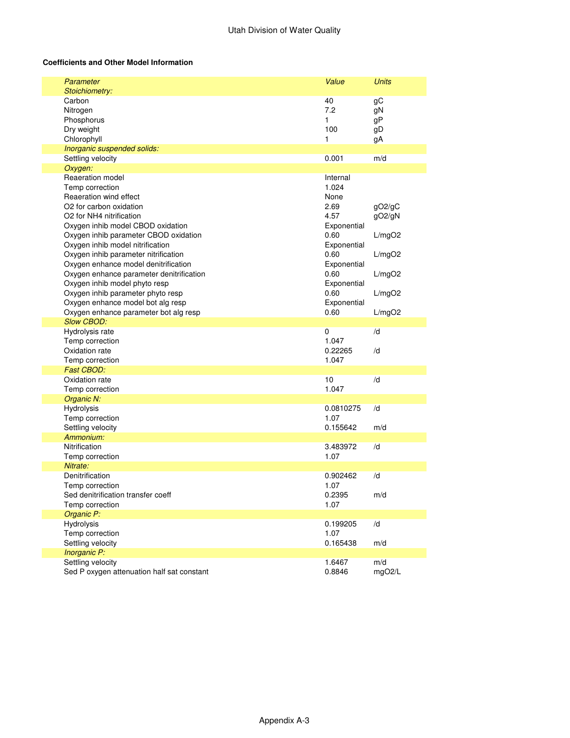### **Coefficients and Other Model Information**

| Parameter<br>Stoichiometry:                                                                                                                                                                                                                                                                                                                                                                                                                                                                                       | Value                                                                                                                                                | <b>Units</b>                                             |
|-------------------------------------------------------------------------------------------------------------------------------------------------------------------------------------------------------------------------------------------------------------------------------------------------------------------------------------------------------------------------------------------------------------------------------------------------------------------------------------------------------------------|------------------------------------------------------------------------------------------------------------------------------------------------------|----------------------------------------------------------|
| Carbon<br>Nitrogen<br>Phosphorus<br>Dry weight<br>Chlorophyll                                                                                                                                                                                                                                                                                                                                                                                                                                                     | 40<br>7.2<br>1<br>100<br>1                                                                                                                           | gC<br>gN<br>gP<br>gD<br>gA                               |
| Inorganic suspended solids:                                                                                                                                                                                                                                                                                                                                                                                                                                                                                       |                                                                                                                                                      |                                                          |
| Settling velocity                                                                                                                                                                                                                                                                                                                                                                                                                                                                                                 | 0.001                                                                                                                                                | m/d                                                      |
| Oxygen:                                                                                                                                                                                                                                                                                                                                                                                                                                                                                                           |                                                                                                                                                      |                                                          |
| Reaeration model<br>Temp correction<br>Reaeration wind effect<br>O <sub>2</sub> for carbon oxidation<br>O <sub>2</sub> for NH <sub>4</sub> nitrification<br>Oxygen inhib model CBOD oxidation<br>Oxygen inhib parameter CBOD oxidation<br>Oxygen inhib model nitrification<br>Oxygen inhib parameter nitrification<br>Oxygen enhance model denitrification<br>Oxygen enhance parameter denitrification<br>Oxygen inhib model phyto resp<br>Oxygen inhib parameter phyto resp<br>Oxygen enhance model bot alg resp | Internal<br>1.024<br>None<br>2.69<br>4.57<br>Exponential<br>0.60<br>Exponential<br>0.60<br>Exponential<br>0.60<br>Exponential<br>0.60<br>Exponential | gO2/gC<br>gO2/gN<br>L/mgO2<br>L/mgO2<br>L/mgO2<br>L/mgO2 |
| Oxygen enhance parameter bot alg resp                                                                                                                                                                                                                                                                                                                                                                                                                                                                             | 0.60                                                                                                                                                 | L/mgO2                                                   |
| <b>Slow CBOD:</b>                                                                                                                                                                                                                                                                                                                                                                                                                                                                                                 |                                                                                                                                                      |                                                          |
| Hydrolysis rate<br>Temp correction<br>Oxidation rate<br>Temp correction                                                                                                                                                                                                                                                                                                                                                                                                                                           | 0<br>1.047<br>0.22265<br>1.047                                                                                                                       | /d<br>/d                                                 |
| Fast CBOD:                                                                                                                                                                                                                                                                                                                                                                                                                                                                                                        |                                                                                                                                                      |                                                          |
| Oxidation rate<br>Temp correction                                                                                                                                                                                                                                                                                                                                                                                                                                                                                 | 10<br>1.047                                                                                                                                          | /d                                                       |
| Organic N:                                                                                                                                                                                                                                                                                                                                                                                                                                                                                                        |                                                                                                                                                      |                                                          |
| Hydrolysis<br>Temp correction<br>Settling velocity                                                                                                                                                                                                                                                                                                                                                                                                                                                                | 0.0810275<br>1.07<br>0.155642                                                                                                                        | /d<br>m/d                                                |
| Ammonium:                                                                                                                                                                                                                                                                                                                                                                                                                                                                                                         |                                                                                                                                                      |                                                          |
| Nitrification<br>Temp correction                                                                                                                                                                                                                                                                                                                                                                                                                                                                                  | 3.483972<br>1.07                                                                                                                                     | /d                                                       |
| Nitrate:                                                                                                                                                                                                                                                                                                                                                                                                                                                                                                          |                                                                                                                                                      |                                                          |
| Denitrification                                                                                                                                                                                                                                                                                                                                                                                                                                                                                                   | 0.902462                                                                                                                                             | /d                                                       |
| Temp correction<br>Sed denitrification transfer coeff<br>Temp correction                                                                                                                                                                                                                                                                                                                                                                                                                                          | 1.07<br>0.2395<br>1.07                                                                                                                               | m/d                                                      |
| Organic P:                                                                                                                                                                                                                                                                                                                                                                                                                                                                                                        |                                                                                                                                                      |                                                          |
| Hydrolysis<br>Temp correction<br>Settling velocity                                                                                                                                                                                                                                                                                                                                                                                                                                                                | 0.199205<br>1.07<br>0.165438                                                                                                                         | /d<br>m/d                                                |
| Inorganic P:                                                                                                                                                                                                                                                                                                                                                                                                                                                                                                      |                                                                                                                                                      |                                                          |
| Settling velocity<br>Sed P oxygen attenuation half sat constant                                                                                                                                                                                                                                                                                                                                                                                                                                                   | 1.6467<br>0.8846                                                                                                                                     | m/d<br>mgO2/L                                            |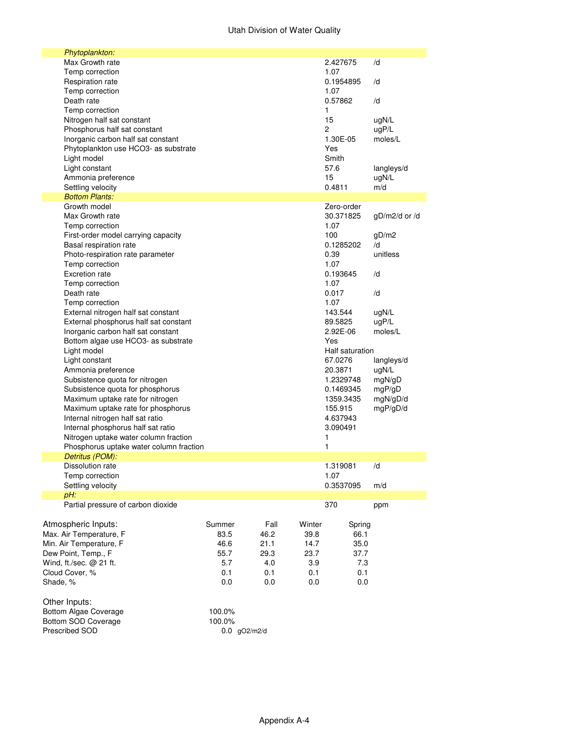## Utah Division of Water Quality

| Phytoplankton:                                 |                |              |              |                 |               |
|------------------------------------------------|----------------|--------------|--------------|-----------------|---------------|
| Max Growth rate                                |                |              |              | 2.427675        | /d            |
| Temp correction                                |                |              |              | 1.07            |               |
| Respiration rate                               |                |              |              | 0.1954895       | /d            |
| Temp correction                                |                |              |              | 1.07            |               |
| Death rate                                     |                |              |              | 0.57862         | /d            |
| Temp correction                                |                |              | 1            |                 |               |
| Nitrogen half sat constant                     |                |              |              | 15              | ugN/L         |
| Phosphorus half sat constant                   |                |              | 2            |                 | uqP/L         |
| Inorganic carbon half sat constant             |                |              |              | 1.30E-05        | moles/L       |
| Phytoplankton use HCO3- as substrate           |                |              |              | Yes             |               |
| Light model                                    |                |              |              | Smith           |               |
| Light constant                                 |                |              |              | 57.6            | langleys/d    |
| Ammonia preference                             |                |              |              | 15              | ugN/L         |
| Settling velocity                              |                |              |              | 0.4811          | m/d           |
| <b>Bottom Plants:</b>                          |                |              |              |                 |               |
| Growth model                                   |                |              |              | Zero-order      |               |
| Max Growth rate                                |                |              |              | 30.371825       | gD/m2/d or /d |
| Temp correction                                |                |              |              | 1.07            |               |
| First-order model carrying capacity            |                |              |              | 100             | gD/m2         |
| Basal respiration rate                         |                |              |              | 0.1285202       | /d            |
| Photo-respiration rate parameter               |                |              |              | 0.39            | unitless      |
| Temp correction                                |                |              |              | 1.07            |               |
| <b>Excretion rate</b>                          |                |              |              | 0.193645        | /d            |
| Temp correction                                |                |              |              | 1.07            |               |
| Death rate                                     |                |              |              | 0.017           | /d            |
| Temp correction                                |                |              |              | 1.07            |               |
| External nitrogen half sat constant            |                |              |              | 143.544         | ugN/L         |
| External phosphorus half sat constant          |                |              |              | 89.5825         | uqP/L         |
| Inorganic carbon half sat constant             |                |              |              | 2.92E-06        | moles/L       |
| Bottom algae use HCO3- as substrate            |                |              |              | Yes             |               |
| Light model                                    |                |              |              | Half saturation |               |
| Light constant                                 |                |              |              | 67.0276         | langleys/d    |
| Ammonia preference                             |                |              |              | 20.3871         | ugN/L         |
| Subsistence quota for nitrogen                 |                |              |              | 1.2329748       | mgN/gD        |
| Subsistence quota for phosphorus               |                |              |              | 0.1469345       | mgP/gD        |
| Maximum uptake rate for nitrogen               |                |              |              | 1359.3435       | mgN/gD/d      |
| Maximum uptake rate for phosphorus             |                |              |              | 155.915         | mgP/gD/d      |
| Internal nitrogen half sat ratio               |                |              |              | 4.637943        |               |
| Internal phosphorus half sat ratio             |                |              |              | 3.090491        |               |
| Nitrogen uptake water column fraction          |                |              | 1            |                 |               |
| Phosphorus uptake water column fraction        |                |              | 1            |                 |               |
| Detritus (POM):                                |                |              |              |                 |               |
| Dissolution rate                               |                |              |              | 1.319081        | /d            |
| Temp correction                                |                |              |              | 1.07            |               |
| Settling velocity                              |                |              |              | 0.3537095       | m/d           |
| pH:                                            |                |              |              |                 |               |
| Partial pressure of carbon dioxide             |                |              |              | 370             | ppm           |
|                                                |                |              |              |                 |               |
| Atmospheric Inputs:                            |                | Fall         | Winter       |                 |               |
|                                                | Summer<br>83.5 | 46.2         | 39.8         | Spring<br>66.1  |               |
| Max. Air Temperature, F                        |                |              |              |                 |               |
| Min. Air Temperature, F<br>Dew Point, Temp., F | 46.6<br>55.7   | 21.1<br>29.3 | 14.7<br>23.7 | 35.0<br>37.7    |               |
|                                                |                |              |              |                 |               |
| Wind, ft./sec. @ 21 ft.<br>Cloud Cover, %      | 5.7<br>0.1     | 4.0<br>0.1   | 3.9<br>0.1   | 7.3<br>0.1      |               |
|                                                |                |              |              |                 |               |
| Shade, %                                       | 0.0            | 0.0          | 0.0          | 0.0             |               |
|                                                |                |              |              |                 |               |
| Other Inputs:                                  |                |              |              |                 |               |
| <b>Bottom Algae Coverage</b>                   | 100.0%         |              |              |                 |               |
| Bottom SOD Coverage                            | 100.0%         |              |              |                 |               |
| Prescribed SOD                                 | $0.0$ gO2/m2/d |              |              |                 |               |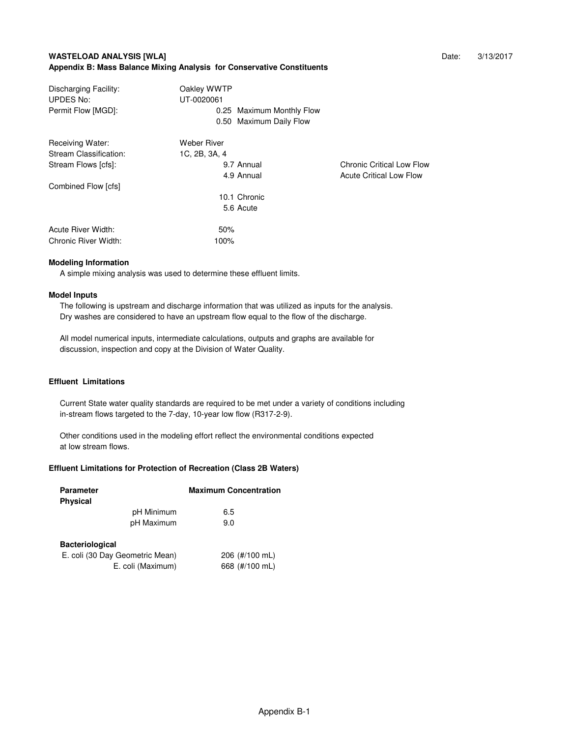### **WASTELOAD ANALYSIS [WLA] Date:** 3/13/2017 **Appendix B: Mass Balance Mixing Analysis for Conservative Constituents**

| Discharging Facility:<br><b>UPDES No:</b> | Oakley WWTP<br>UT-0020061 |                                  |
|-------------------------------------------|---------------------------|----------------------------------|
| Permit Flow [MGD]:                        | 0.25 Maximum Monthly Flow |                                  |
|                                           | 0.50 Maximum Daily Flow   |                                  |
| Receiving Water:                          | Weber River               |                                  |
| Stream Classification:                    | 1C, 2B, 3A, 4             |                                  |
| Stream Flows [cfs]:                       | 9.7 Annual                | <b>Chronic Critical Low Flow</b> |
|                                           | 4.9 Annual                | <b>Acute Critical Low Flow</b>   |
| Combined Flow [cfs]                       |                           |                                  |
|                                           | 10.1 Chronic              |                                  |
|                                           | 5.6 Acute                 |                                  |
| Acute River Width:                        | 50%                       |                                  |
| Chronic River Width:                      | 100%                      |                                  |

#### **Modeling Information**

A simple mixing analysis was used to determine these effluent limits.

#### **Model Inputs**

 The following is upstream and discharge information that was utilized as inputs for the analysis. Dry washes are considered to have an upstream flow equal to the flow of the discharge.

 All model numerical inputs, intermediate calculations, outputs and graphs are available for discussion, inspection and copy at the Division of Water Quality.

#### **Effluent Limitations**

 Current State water quality standards are required to be met under a variety of conditions including in-stream flows targeted to the 7-day, 10-year low flow (R317-2-9).

 Other conditions used in the modeling effort reflect the environmental conditions expected at low stream flows.

### **Effluent Limitations for Protection of Recreation (Class 2B Waters)**

| Parameter<br><b>Physical</b>    | <b>Maximum Concentration</b> |
|---------------------------------|------------------------------|
| pH Minimum                      | 6.5                          |
| pH Maximum                      | 9.0                          |
| <b>Bacteriological</b>          |                              |
| E. coli (30 Day Geometric Mean) | 206 (#/100 mL)               |
| E. coli (Maximum)               | 668 (#/100 mL)               |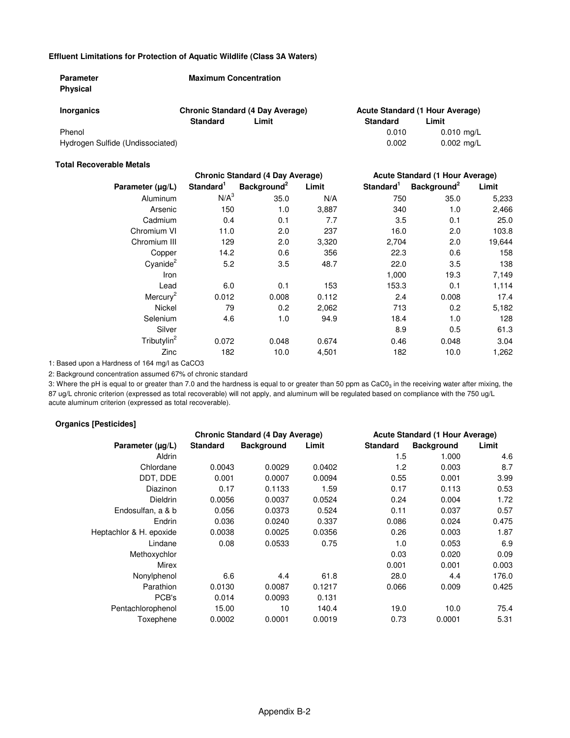### **Effluent Limitations for Protection of Aquatic Wildlife (Class 3A Waters)**

| <b>Parameter</b><br><b>Physical</b> | <b>Maximum Concentration</b> |                                         |                                 |                      |  |
|-------------------------------------|------------------------------|-----------------------------------------|---------------------------------|----------------------|--|
| <b>Inorganics</b>                   |                              | <b>Chronic Standard (4 Day Average)</b> | Acute Standard (1 Hour Average) |                      |  |
|                                     | <b>Standard</b>              | Limit                                   | Standard                        | Limit                |  |
| Phenol                              |                              |                                         | 0.010                           | $0.010$ mg/L         |  |
| Hydrogen Sulfide (Undissociated)    |                              |                                         | 0.002                           | $0.002 \text{ ma/L}$ |  |

#### **Total Recoverable Metals**

|                         |                       | <b>Chronic Standard (4 Day Average)</b> |       |                       | Acute Standard (1 Hour Average) |        |  |
|-------------------------|-----------------------|-----------------------------------------|-------|-----------------------|---------------------------------|--------|--|
| Parameter $(\mu g/L)$   | Standard <sup>1</sup> | Background <sup>2</sup>                 | Limit | Standard <sup>1</sup> | Background <sup>2</sup>         | Limit  |  |
| Aluminum                | N/A <sup>3</sup>      | 35.0                                    | N/A   | 750                   | 35.0                            | 5,233  |  |
| Arsenic                 | 150                   | 1.0                                     | 3,887 | 340                   | 1.0                             | 2,466  |  |
| Cadmium                 | 0.4                   | 0.1                                     | 7.7   | 3.5                   | 0.1                             | 25.0   |  |
| Chromium VI             | 11.0                  | 2.0                                     | 237   | 16.0                  | 2.0                             | 103.8  |  |
| Chromium III            | 129                   | 2.0                                     | 3,320 | 2,704                 | 2.0                             | 19,644 |  |
| Copper                  | 14.2                  | 0.6                                     | 356   | 22.3                  | 0.6                             | 158    |  |
| $C$ yanide $^2$         | 5.2                   | 3.5                                     | 48.7  | 22.0                  | 3.5                             | 138    |  |
| Iron                    |                       |                                         |       | 1,000                 | 19.3                            | 7,149  |  |
| Lead                    | 6.0                   | 0.1                                     | 153   | 153.3                 | 0.1                             | 1,114  |  |
| Mercury <sup>2</sup>    | 0.012                 | 0.008                                   | 0.112 | 2.4                   | 0.008                           | 17.4   |  |
| <b>Nickel</b>           | 79                    | 0.2 <sub>0</sub>                        | 2,062 | 713                   | 0.2                             | 5,182  |  |
| Selenium                | 4.6                   | 1.0                                     | 94.9  | 18.4                  | 1.0                             | 128    |  |
| Silver                  |                       |                                         |       | 8.9                   | 0.5                             | 61.3   |  |
| Tributylin <sup>2</sup> | 0.072                 | 0.048                                   | 0.674 | 0.46                  | 0.048                           | 3.04   |  |
| Zinc                    | 182                   | 10.0                                    | 4,501 | 182                   | 10.0                            | 1,262  |  |

1: Based upon a Hardness of 164 mg/l as CaCO3

2: Background concentration assumed 67% of chronic standard

3: Where the pH is equal to or greater than 7.0 and the hardness is equal to or greater than 50 ppm as CaC0 $_3$  in the receiving water after mixing, the 87 ug/L chronic criterion (expressed as total recoverable) will not apply, and aluminum will be regulated based on compliance with the 750 ug/L acute aluminum criterion (expressed as total recoverable).

#### **Organics [Pesticides]**

|                         | <b>Chronic Standard (4 Day Average)</b> |                   |        |                 | <b>Acute Standard (1 Hour Average)</b> |       |  |
|-------------------------|-----------------------------------------|-------------------|--------|-----------------|----------------------------------------|-------|--|
| Parameter $(\mu g/L)$   | <b>Standard</b>                         | <b>Background</b> | Limit  | <b>Standard</b> | <b>Background</b>                      | Limit |  |
| Aldrin                  |                                         |                   |        | 1.5             | 1.000                                  | 4.6   |  |
| Chlordane               | 0.0043                                  | 0.0029            | 0.0402 | 1.2             | 0.003                                  | 8.7   |  |
| DDT, DDE                | 0.001                                   | 0.0007            | 0.0094 | 0.55            | 0.001                                  | 3.99  |  |
| Diazinon                | 0.17                                    | 0.1133            | 1.59   | 0.17            | 0.113                                  | 0.53  |  |
| <b>Dieldrin</b>         | 0.0056                                  | 0.0037            | 0.0524 | 0.24            | 0.004                                  | 1.72  |  |
| Endosulfan, a & b       | 0.056                                   | 0.0373            | 0.524  | 0.11            | 0.037                                  | 0.57  |  |
| Endrin                  | 0.036                                   | 0.0240            | 0.337  | 0.086           | 0.024                                  | 0.475 |  |
| Heptachlor & H. epoxide | 0.0038                                  | 0.0025            | 0.0356 | 0.26            | 0.003                                  | 1.87  |  |
| Lindane                 | 0.08                                    | 0.0533            | 0.75   | 1.0             | 0.053                                  | 6.9   |  |
| Methoxychlor            |                                         |                   |        | 0.03            | 0.020                                  | 0.09  |  |
| Mirex                   |                                         |                   |        | 0.001           | 0.001                                  | 0.003 |  |
| Nonylphenol             | 6.6                                     | 4.4               | 61.8   | 28.0            | 4.4                                    | 176.0 |  |
| Parathion               | 0.0130                                  | 0.0087            | 0.1217 | 0.066           | 0.009                                  | 0.425 |  |
| PCB's                   | 0.014                                   | 0.0093            | 0.131  |                 |                                        |       |  |
| Pentachlorophenol       | 15.00                                   | 10                | 140.4  | 19.0            | 10.0                                   | 75.4  |  |
| Toxephene               | 0.0002                                  | 0.0001            | 0.0019 | 0.73            | 0.0001                                 | 5.31  |  |